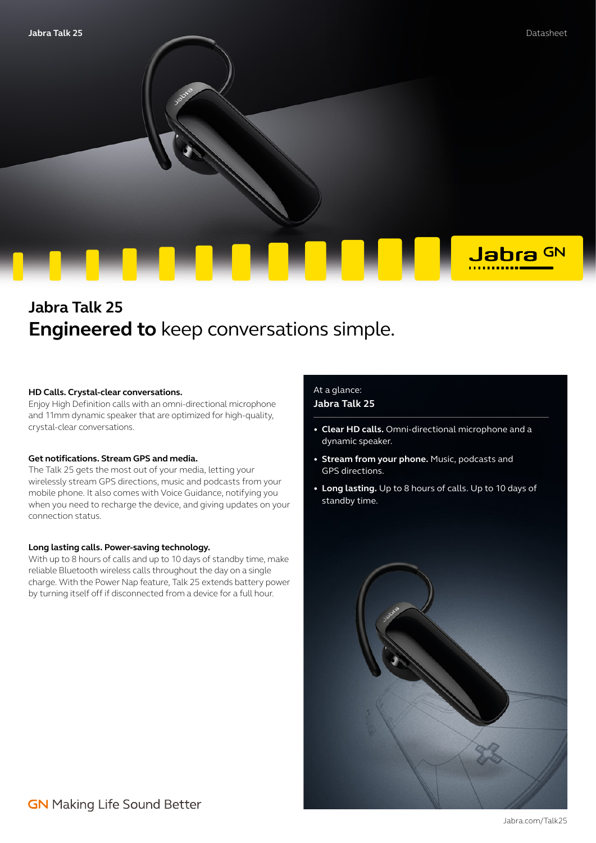

# **Jabra Talk 25 Engineered to** keep conversations simple.

#### **HD Calls. Crystal-clear conversations.**

Enjoy High Definition calls with an omni-directional microphone and 11mm dynamic speaker that are optimized for high-quality, crystal-clear conversations.

#### **Get notifications. Stream GPS and media.**

The Talk 25 gets the most out of your media, letting your wirelessly stream GPS directions, music and podcasts from your mobile phone. It also comes with Voice Guidance, notifying you when you need to recharge the device, and giving updates on your connection status.

#### **Long lasting calls. Power-saving technology.**

With up to 8 hours of calls and up to 10 days of standby time, make reliable Bluetooth wireless calls throughout the day on a single charge. With the Power Nap feature, Talk 25 extends battery power by turning itself off if disconnected from a device for a full hour.

### At a glance: **Jabra Talk 25**

- **• Clear HD calls.** Omni-directional microphone and a dynamic speaker.
- **• Stream from your phone.** Music, podcasts and GPS directions.
- **• Long lasting.** Up to 8 hours of calls. Up to 10 days of standby time.